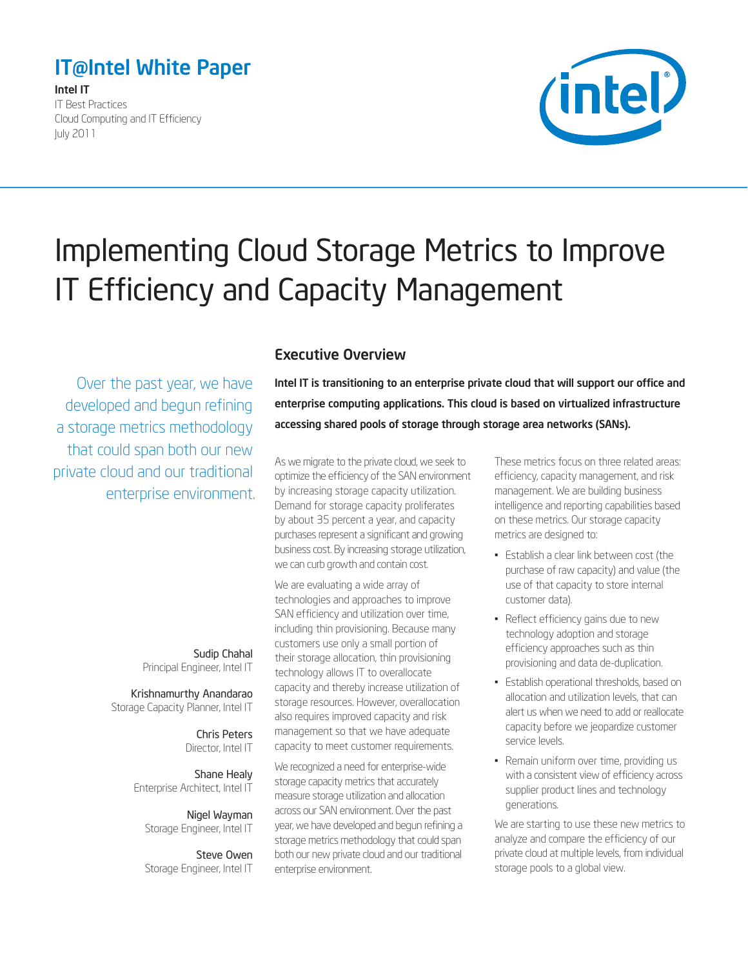# <span id="page-0-0"></span>IT@Intel White Paper

Intel IT IT Best Practices Cloud Computing and IT Efficiency July 2011



# Implementing Cloud Storage Metrics to Improve IT Efficiency and Capacity Management

Over the past year, we have developed and begun refining a storage metrics methodology that could span both our new private cloud and our traditional enterprise environment.

> Sudip Chahal Principal Engineer, Intel IT

Krishnamurthy Anandarao Storage Capacity Planner, Intel IT

> Chris Peters Director, Intel IT

Shane Healy Enterprise Architect, Intel IT

Nigel Wayman Storage Engineer, Intel IT

Steve Owen Storage Engineer, Intel IT

## Executive Overview

Intel IT is transitioning to an enterprise private cloud that will support our office and enterprise computing applications. This cloud is based on virtualized infrastructure accessing shared pools of storage through storage area networks (SANs).

As we migrate to the private cloud, we seek to optimize the efficiency of the SAN environment by increasing storage capacity utilization. Demand for storage capacity proliferates by about 35 percent a year, and capacity purchases represent a significant and growing business cost. By increasing storage utilization, we can curb growth and contain cost.

We are evaluating a wide array of technologies and approaches to improve SAN efficiency and utilization over time, including thin provisioning. Because many customers use only a small portion of their storage allocation, thin provisioning technology allows IT to overallocate capacity and thereby increase utilization of storage resources. However, overallocation also requires improved capacity and risk management so that we have adequate capacity to meet customer requirements.

We recognized a need for enterprise-wide storage capacity metrics that accurately measure storage utilization and allocation across our SAN environment. Over the past year, we have developed and begun refining a storage metrics methodology that could span both our new private cloud and our traditional enterprise environment.

These metrics focus on three related areas: efficiency, capacity management, and risk management. We are building business intelligence and reporting capabilities based on these metrics. Our storage capacity metrics are designed to:

- Establish a clear link between cost (the purchase of raw capacity) and value (the use of that capacity to store internal customer data).
- Reflect efficiency gains due to new technology adoption and storage efficiency approaches such as thin provisioning and data de-duplication.
- **Establish operational thresholds, based on** allocation and utilization levels, that can alert us when we need to add or reallocate capacity before we jeopardize customer service levels.
- Remain uniform over time, providing us with a consistent view of efficiency across supplier product lines and technology generations.

We are starting to use these new metrics to analyze and compare the efficiency of our private cloud at multiple levels, from individual storage pools to a global view.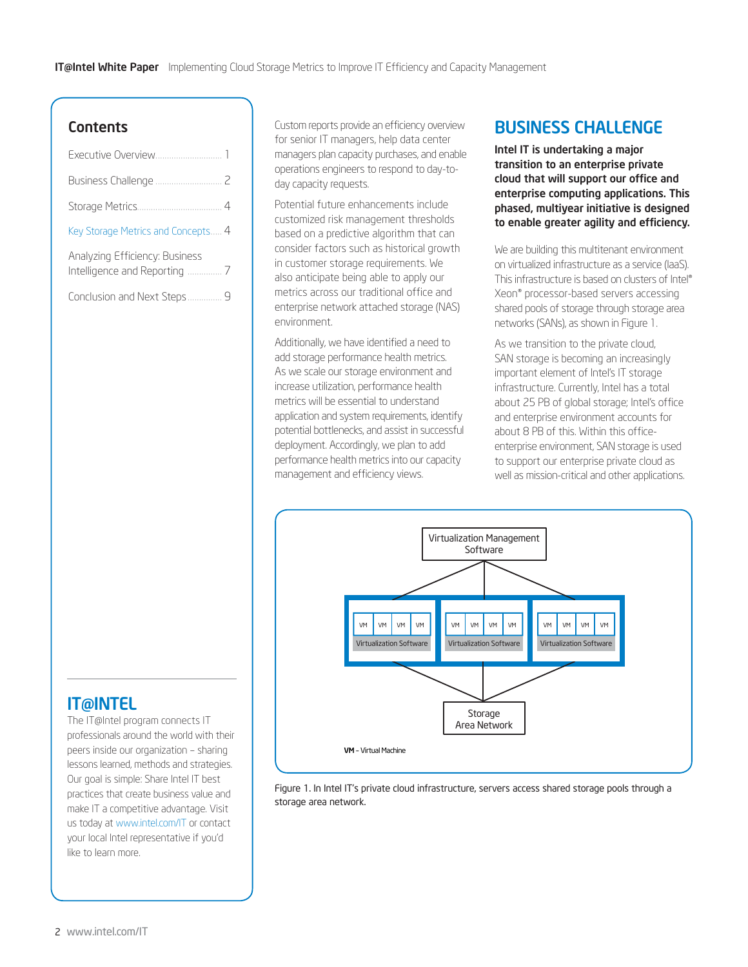## **Contents**

| Key Storage Metrics and Concepts 4 |  |
|------------------------------------|--|
| Analyzing Efficiency: Business     |  |
| Conclusion and Next Steps 9        |  |

Custom reports provide an efficiency overview for senior IT managers, help data center managers plan capacity purchases, and enable operations engineers to respond to day-today capacity requests.

Potential future enhancements include customized risk management thresholds based on a predictive algorithm that can consider factors such as historical growth in customer storage requirements. We also anticipate being able to apply our metrics across our traditional office and enterprise network attached storage (NAS) environment.

Additionally, we have identified a need to add storage performance health metrics. As we scale our storage environment and increase utilization, performance health metrics will be essential to understand application and system requirements, identify potential bottlenecks, and assist in successful deployment. Accordingly, we plan to add performance health metrics into our capacity management and efficiency views.

## BUSINESS CHALLENGE

Intel IT is undertaking a major transition to an enterprise private cloud that will support our office and enterprise computing applications. This phased, multiyear initiative is designed to enable greater agility and efficiency.

We are building this multitenant environment on virtualized infrastructure as a service (IaaS). This infrastructure is based on clusters of Intel® Xeon® processor-based servers accessing shared pools of storage through storage area networks (SANs), as shown in Figure 1.

As we transition to the private cloud, SAN storage is becoming an increasingly important element of Intel's IT storage infrastructure. Currently, Intel has a total about 25 PB of global storage; Intel's office and enterprise environment accounts for about 8 PB of this. Within this officeenterprise environment, SAN storage is used to support our enterprise private cloud as well as mission-critical and other applications.



Figure 1. In Intel IT's private cloud infrastructure, servers access shared storage pools through a storage area network.

## IT@INTEL

The IT@Intel program connects IT professionals around the world with their peers inside our organization – sharing lessons learned, methods and strategies. Our goal is simple: Share Intel IT best practices that create business value and make IT a competitive advantage. Visit us today at [www.intel.com/IT](http://www.intel.com/IT) or contact your local Intel representative if you'd like to learn more.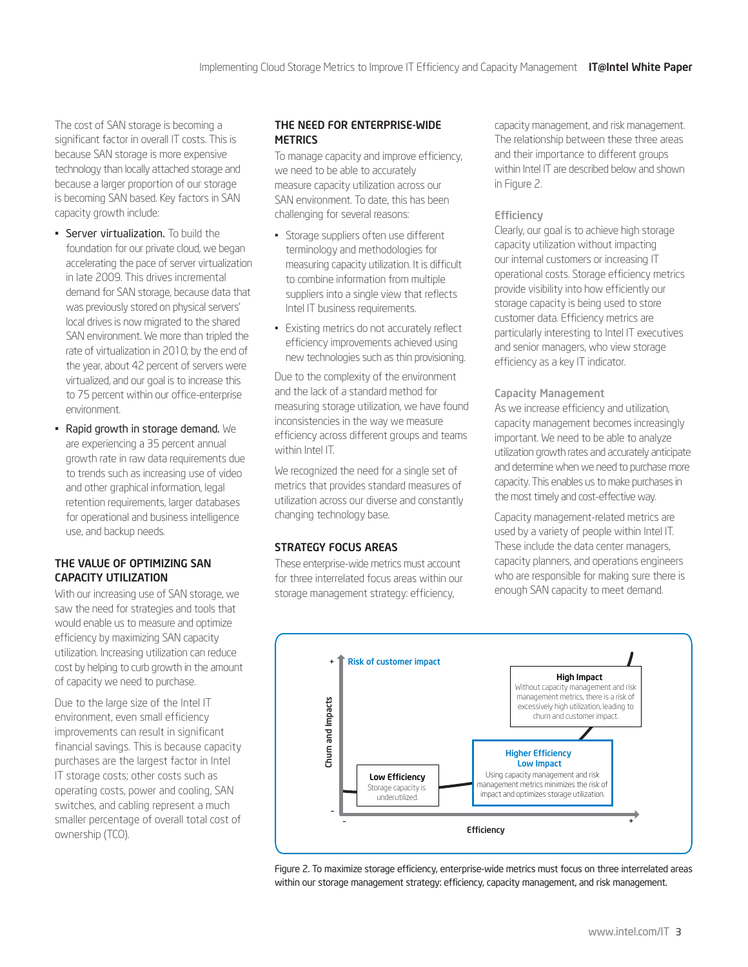The cost of SAN storage is becoming a significant factor in overall IT costs. This is because SAN storage is more expensive technology than locally attached storage and because a larger proportion of our storage is becoming SAN based. Key factors in SAN capacity growth include:

- **Server virtualization.** To build the foundation for our private cloud, we began accelerating the pace of server virtualization in late 2009. This drives incremental demand for SAN storage, because data that was previously stored on physical servers' local drives is now migrated to the shared SAN environment. We more than tripled the rate of virtualization in 2010; by the end of the year, about 42 percent of servers were virtualized, and our goal is to increase this to 75 percent within our office-enterprise environment.
- Rapid growth in storage demand. We are experiencing a 35 percent annual growth rate in raw data requirements due to trends such as increasing use of video and other graphical information, legal retention requirements, larger databases for operational and business intelligence use, and backup needs.

#### THE VALUE OF OPTIMIZING SAN CAPACITY UTILIZATION

With our increasing use of SAN storage, we saw the need for strategies and tools that would enable us to measure and optimize efficiency by maximizing SAN capacity utilization. Increasing utilization can reduce cost by helping to curb growth in the amount of capacity we need to purchase.

Due to the large size of the Intel IT environment, even small efficiency improvements can result in significant financial savings. This is because capacity purchases are the largest factor in Intel IT storage costs; other costs such as operating costs, power and cooling, SAN switches, and cabling represent a much smaller percentage of overall total cost of ownership (TCO).

#### THE NEED FOR ENTERPRISE-WIDE **METRICS**

To manage capacity and improve efficiency, we need to be able to accurately measure capacity utilization across our SAN environment. To date, this has been challenging for several reasons:

- Storage suppliers often use different terminology and methodologies for measuring capacity utilization. It is difficult to combine information from multiple suppliers into a single view that reflects Intel IT business requirements.
- Existing metrics do not accurately reflect efficiency improvements achieved using new technologies such as thin provisioning.

Due to the complexity of the environment and the lack of a standard method for measuring storage utilization, we have found inconsistencies in the way we measure efficiency across different groups and teams within Intel IT.

We recognized the need for a single set of metrics that provides standard measures of utilization across our diverse and constantly changing technology base.

#### STRATEGY FOCUS AREAS

These enterprise-wide metrics must account for three interrelated focus areas within our storage management strategy: efficiency,

capacity management, and risk management. The relationship between these three areas and their importance to different groups within Intel IT are described below and shown in Figure 2.

#### **Efficiency**

Clearly, our goal is to achieve high storage capacity utilization without impacting our internal customers or increasing IT operational costs. Storage efficiency metrics provide visibility into how efficiently our storage capacity is being used to store customer data. Efficiency metrics are particularly interesting to Intel IT executives and senior managers, who view storage efficiency as a key IT indicator.

#### Capacity Management

As we increase efficiency and utilization, capacity management becomes increasingly important. We need to be able to analyze utilization growth rates and accurately anticipate and determine when we need to purchase more capacity. This enables us to make purchases in the most timely and cost-effective way.

Capacity management-related metrics are used by a variety of people within Intel IT. These include the data center managers, capacity planners, and operations engineers who are responsible for making sure there is enough SAN capacity to meet demand.



Figure 2. To maximize storage efficiency, enterprise-wide metrics must focus on three interrelated areas within our storage management strategy: efficiency, capacity management, and risk management.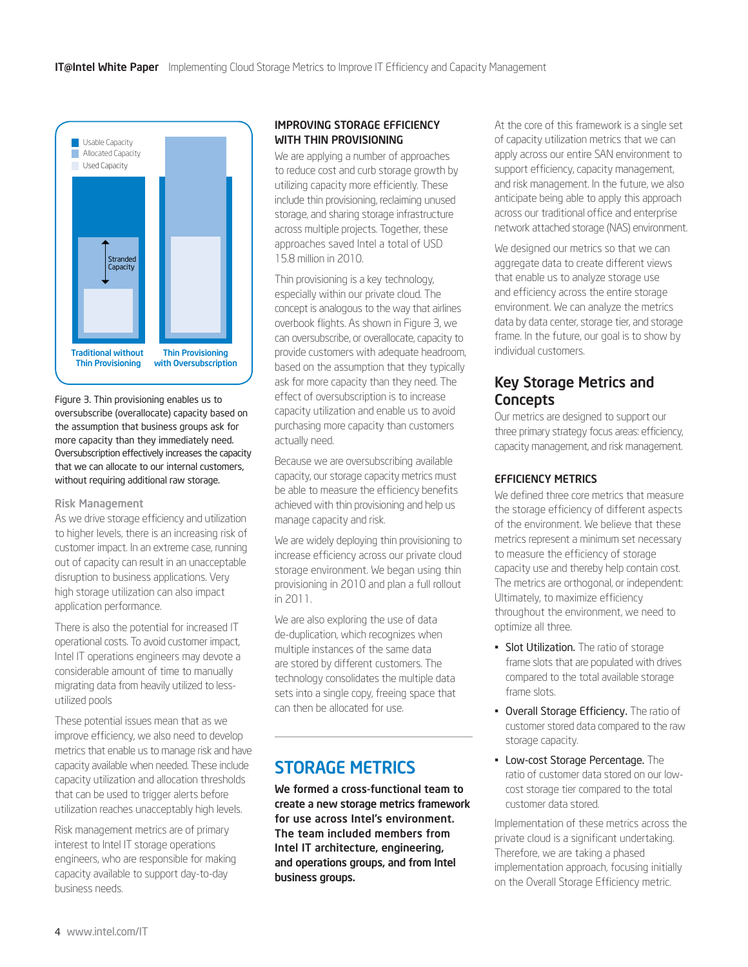<span id="page-3-0"></span>

Figure 3. Thin provisioning enables us to oversubscribe (overallocate) capacity based on the assumption that business groups ask for more capacity than they immediately need. Oversubscription effectively increases the capacity that we can allocate to our internal customers, without requiring additional raw storage.

#### Risk Management

As we drive storage efficiency and utilization to higher levels, there is an increasing risk of customer impact. In an extreme case, running out of capacity can result in an unacceptable disruption to business applications. Very high storage utilization can also impact application performance.

There is also the potential for increased IT operational costs. To avoid customer impact, Intel IT operations engineers may devote a considerable amount of time to manually migrating data from heavily utilized to lessutilized pools

These potential issues mean that as we improve efficiency, we also need to develop metrics that enable us to manage risk and have capacity available when needed. These include capacity utilization and allocation thresholds that can be used to trigger alerts before utilization reaches unacceptably high levels.

Risk management metrics are of primary interest to Intel IT storage operations engineers, who are responsible for making capacity available to support day-to-day business needs.

#### IMPROVING STORAGE EFFICIENCY WITH THIN PROVISIONING

We are applying a number of approaches to reduce cost and curb storage growth by utilizing capacity more efficiently. These include thin provisioning, reclaiming unused storage, and sharing storage infrastructure across multiple projects. Together, these approaches saved Intel a total of USD 15.8 million in 2010.

Thin provisioning is a key technology, especially within our private cloud. The concept is analogous to the way that airlines overbook flights. As shown in Figure 3, we can oversubscribe, or overallocate, capacity to provide customers with adequate headroom, based on the assumption that they typically ask for more capacity than they need. The effect of oversubscription is to increase capacity utilization and enable us to avoid purchasing more capacity than customers actually need.

Because we are oversubscribing available capacity, our storage capacity metrics must be able to measure the efficiency benefits achieved with thin provisioning and help us manage capacity and risk.

We are widely deploying thin provisioning to increase efficiency across our private cloud storage environment. We began using thin provisioning in 2010 and plan a full rollout in 2011.

We are also exploring the use of data de-duplication, which recognizes when multiple instances of the same data are stored by different customers. The technology consolidates the multiple data sets into a single copy, freeing space that can then be allocated for use.

# STORAGE METRICS

We formed a cross-functional team to create a new storage metrics framework for use across Intel's environment. The team included members from Intel IT architecture, engineering, and operations groups, and from Intel business groups.

At the core of this framework is a single set of capacity utilization metrics that we can apply across our entire SAN environment to support efficiency, capacity management, and risk management. In the future, we also anticipate being able to apply this approach across our traditional office and enterprise network attached storage (NAS) environment.

We designed our metrics so that we can aggregate data to create different views that enable us to analyze storage use and efficiency across the entire storage environment. We can analyze the metrics data by data center, storage tier, and storage frame. In the future, our goal is to show by individual customers.

### Key Storage Metrics and **Concepts**

Our metrics are designed to support our three primary strategy focus areas: efficiency, capacity management, and risk management.

#### EFFICIENCY METRICS

We defined three core metrics that measure the storage efficiency of different aspects of the environment. We believe that these metrics represent a minimum set necessary to measure the efficiency of storage capacity use and thereby help contain cost. The metrics are orthogonal, or independent: Ultimately, to maximize efficiency throughout the environment, we need to optimize all three.

- **Slot Utilization.** The ratio of storage frame slots that are populated with drives compared to the total available storage frame slots.
- **Overall Storage Efficiency.** The ratio of customer stored data compared to the raw storage capacity.
- **Low-cost Storage Percentage.** The ratio of customer data stored on our lowcost storage tier compared to the total customer data stored.

Implementation of these metrics across the private cloud is a significant undertaking. Therefore, we are taking a phased implementation approach, focusing initially on the Overall Storage Efficiency metric.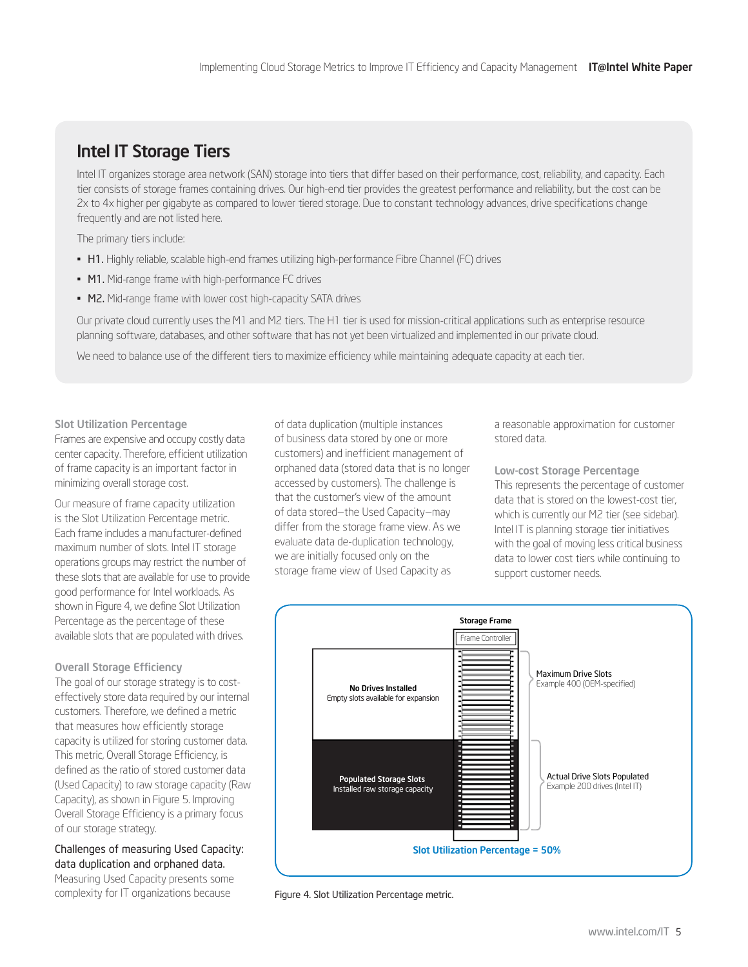# Intel IT Storage Tiers

Intel IT organizes storage area network (SAN) storage into tiers that differ based on their performance, cost, reliability, and capacity. Each tier consists of storage frames containing drives. Our high-end tier provides the greatest performance and reliability, but the cost can be 2x to 4x higher per gigabyte as compared to lower tiered storage. Due to constant technology advances, drive specifications change frequently and are not listed here.

The primary tiers include:

- H1. Highly reliable, scalable high-end frames utilizing high-performance Fibre Channel (FC) drives
- M1. Mid-range frame with high-performance FC drives
- M2. Mid-range frame with lower cost high-capacity SATA drives

Our private cloud currently uses the M1 and M2 tiers. The H1 tier is used for mission-critical applications such as enterprise resource planning software, databases, and other software that has not yet been virtualized and implemented in our private cloud.

We need to balance use of the different tiers to maximize efficiency while maintaining adequate capacity at each tier.

Slot Utilization Percentage Frames are expensive and occupy costly data center capacity. Therefore, efficient utilization of frame capacity is an important factor in minimizing overall storage cost.

Our measure of frame capacity utilization is the Slot Utilization Percentage metric. Each frame includes a manufacturer-defined maximum number of slots. Intel IT storage operations groups may restrict the number of these slots that are available for use to provide good performance for Intel workloads. As shown in Figure 4, we define Slot Utilization Percentage as the percentage of these available slots that are populated with drives.

Overall Storage Efficiency

The goal of our storage strategy is to costeffectively store data required by our internal customers. Therefore, we defined a metric that measures how efficiently storage capacity is utilized for storing customer data. This metric, Overall Storage Efficiency, is defined as the ratio of stored customer data (Used Capacity) to raw storage capacity (Raw Capacity), as shown in Figure 5. Improving Overall Storage Efficiency is a primary focus of our storage strategy.

Challenges of measuring Used Capacity: data duplication and orphaned data. Measuring Used Capacity presents some complexity for IT organizations because

of data duplication (multiple instances of business data stored by one or more customers) and inefficient management of orphaned data (stored data that is no longer accessed by customers). The challenge is that the customer's view of the amount of data stored—the Used Capacity—may differ from the storage frame view. As we evaluate data de-duplication technology, we are initially focused only on the storage frame view of Used Capacity as

a reasonable approximation for customer stored data.

Low-cost Storage Percentage This represents the percentage of customer data that is stored on the lowest-cost tier, which is currently our M2 tier (see sidebar). Intel IT is planning storage tier initiatives with the goal of moving less critical business data to lower cost tiers while continuing to support customer needs.



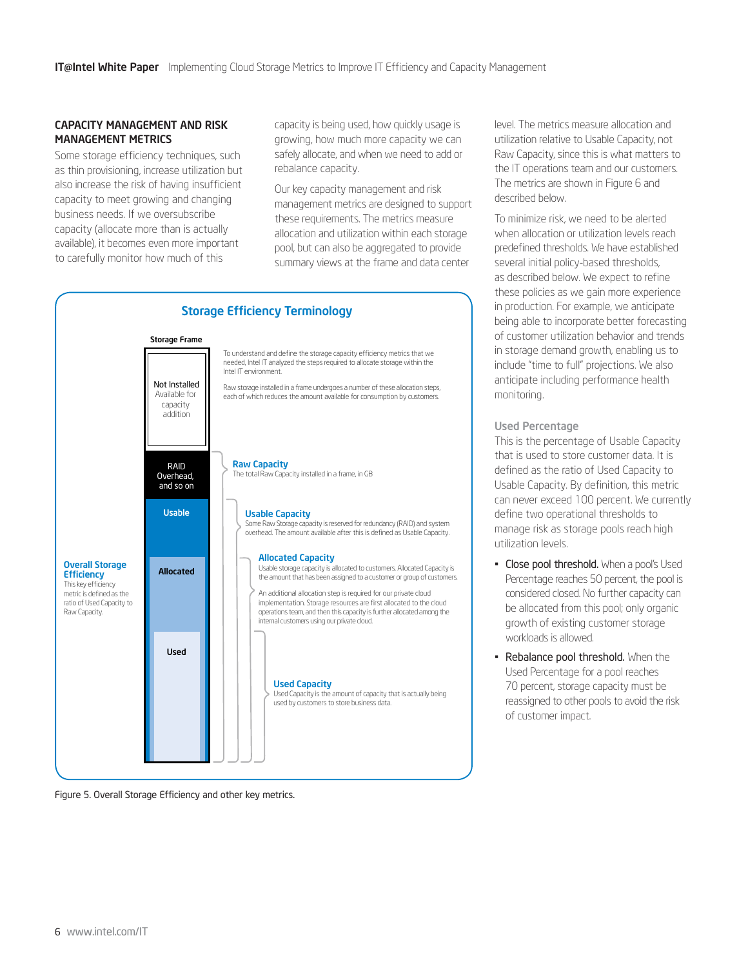#### CAPACITY MANAGEMENT AND RISK MANAGEMENT METRICS

Some storage efficiency techniques, such as thin provisioning, increase utilization but also increase the risk of having insufficient capacity to meet growing and changing business needs. If we oversubscribe capacity (allocate more than is actually available), it becomes even more important to carefully monitor how much of this

capacity is being used, how quickly usage is growing, how much more capacity we can safely allocate, and when we need to add or rebalance capacity.

Our key capacity management and risk management metrics are designed to support these requirements. The metrics measure allocation and utilization within each storage pool, but can also be aggregated to provide summary views at the frame and data center



Figure 5. Overall Storage Efficiency and other key metrics.

level. The metrics measure allocation and utilization relative to Usable Capacity, not Raw Capacity, since this is what matters to the IT operations team and our customers. The metrics are shown in Figure 6 and described below.

To minimize risk, we need to be alerted when allocation or utilization levels reach predefined thresholds. We have established several initial policy-based thresholds, as described below. We expect to refine these policies as we gain more experience in production. For example, we anticipate being able to incorporate better forecasting of customer utilization behavior and trends in storage demand growth, enabling us to include "time to full" projections. We also anticipate including performance health monitoring.

#### Used Percentage

This is the percentage of Usable Capacity that is used to store customer data. It is defined as the ratio of Used Capacity to Usable Capacity. By definition, this metric can never exceed 100 percent. We currently define two operational thresholds to manage risk as storage pools reach high utilization levels.

- **Close pool threshold.** When a pool's Used Percentage reaches 50 percent, the pool is considered closed. No further capacity can be allocated from this pool; only organic growth of existing customer storage workloads is allowed.
- Rebalance pool threshold. When the Used Percentage for a pool reaches 70 percent, storage capacity must be reassigned to other pools to avoid the risk of customer impact.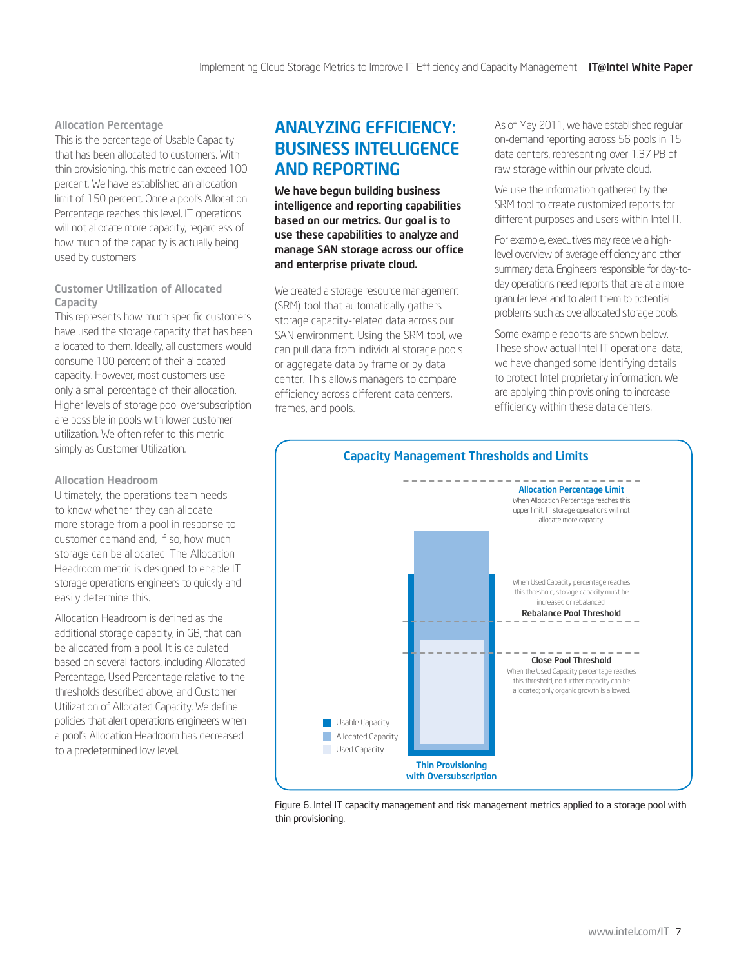#### <span id="page-6-0"></span>Allocation Percentage

This is the percentage of Usable Capacity that has been allocated to customers. With thin provisioning, this metric can exceed 100 percent. We have established an allocation limit of 150 percent. Once a pool's Allocation Percentage reaches this level, IT operations will not allocate more capacity, regardless of how much of the capacity is actually being used by customers.

#### Customer Utilization of Allocated Capacity

This represents how much specific customers have used the storage capacity that has been allocated to them. Ideally, all customers would consume 100 percent of their allocated capacity. However, most customers use only a small percentage of their allocation. Higher levels of storage pool oversubscription are possible in pools with lower customer utilization. We often refer to this metric simply as Customer Utilization.

#### Allocation Headroom

Ultimately, the operations team needs to know whether they can allocate more storage from a pool in response to customer demand and, if so, how much storage can be allocated. The Allocation Headroom metric is designed to enable IT storage operations engineers to quickly and easily determine this.

Allocation Headroom is defined as the additional storage capacity, in GB, that can be allocated from a pool. It is calculated based on several factors, including Allocated Percentage, Used Percentage relative to the thresholds described above, and Customer Utilization of Allocated Capacity. We define policies that alert operations engineers when a pool's Allocation Headroom has decreased to a predetermined low level.

## ANALYZING EFFICIENCY: BUSINESS INTELLIGENCE AND REPORTING

We have begun building business intelligence and reporting capabilities based on our metrics. Our goal is to use these capabilities to analyze and manage SAN storage across our office and enterprise private cloud.

We created a storage resource management (SRM) tool that automatically gathers storage capacity-related data across our SAN environment. Using the SRM tool, we can pull data from individual storage pools or aggregate data by frame or by data center. This allows managers to compare efficiency across different data centers, frames, and pools.

As of May 2011, we have established regular on-demand reporting across 56 pools in 15 data centers, representing over 1.37 PB of raw storage within our private cloud.

We use the information gathered by the SRM tool to create customized reports for different purposes and users within Intel IT.

For example, executives may receive a highlevel overview of average efficiency and other summary data. Engineers responsible for day-today operations need reports that are at a more granular level and to alert them to potential problems such as overallocated storage pools.

Some example reports are shown below. These show actual Intel IT operational data; we have changed some identifying details to protect Intel proprietary information. We are applying thin provisioning to increase efficiency within these data centers.



Figure 6. Intel IT capacity management and risk management metrics applied to a storage pool with thin provisioning.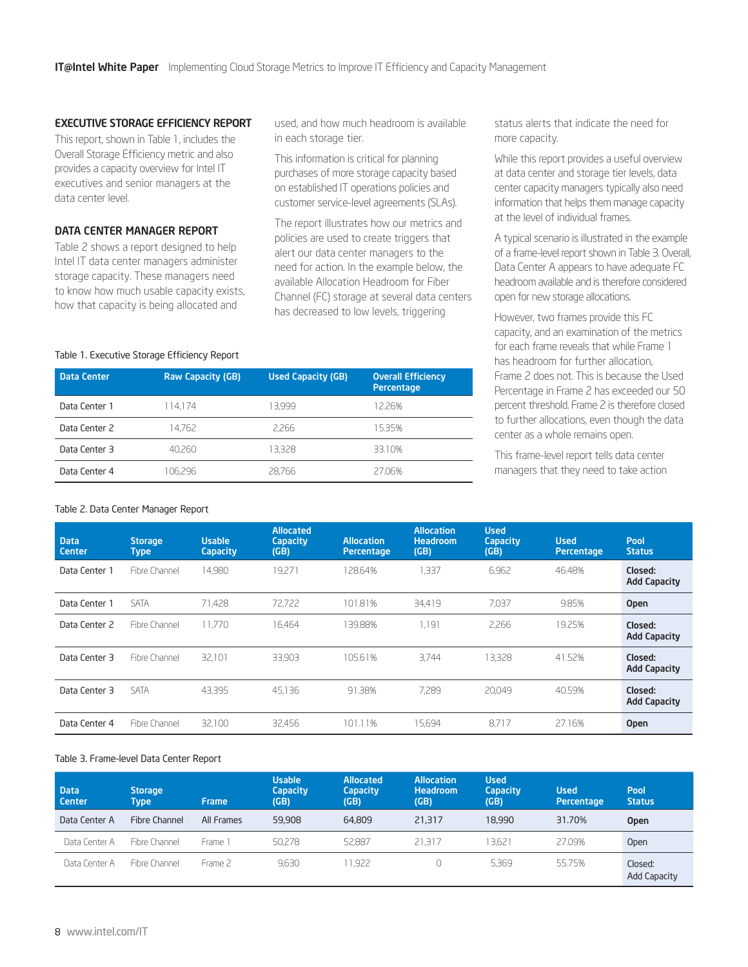#### EXECUTIVE STORAGE EFFICIENCY REPORT

This report, shown in Table 1, includes the Overall Storage Efficiency metric and also provides a capacity overview for Intel IT executives and senior managers at the data center level.

#### DATA CENTER MANAGER REPORT

Table 2 shows a report designed to help Intel IT data center managers administer storage capacity. These managers need to know how much usable capacity exists, how that capacity is being allocated and

used, and how much headroom is available in each storage tier.

This information is critical for planning purchases of more storage capacity based on established IT operations policies and customer service-level agreements (SLAs).

The report illustrates how our metrics and policies are used to create triggers that alert our data center managers to the need for action. In the example below, the available Allocation Headroom for Fiber Channel (FC) storage at several data centers has decreased to low levels, triggering

status alerts that indicate the need for more capacity.

While this report provides a useful overview at data center and storage tier levels, data center capacity managers typically also need information that helps them manage capacity at the level of individual frames.

A typical scenario is illustrated in the example of a frame-level report shown in Table 3. Overall, Data Center A appears to have adequate FC headroom available and is therefore considered open for new storage allocations.

However, two frames provide this FC capacity, and an examination of the metrics for each frame reveals that while Frame 1 has headroom for further allocation, Frame 2 does not. This is because the Used Percentage in Frame 2 has exceeded our 50 percent threshold. Frame 2 is therefore closed to further allocations, even though the data center as a whole remains open.

This frame-level report tells data center managers that they need to take action

#### Table 1. Executive Storage Efficiency Report

| <b>Data Center</b> | <b>Raw Capacity (GB)</b> | <b>Used Capacity (GB)</b> | <b>Overall Efficiency</b><br>Percentage |
|--------------------|--------------------------|---------------------------|-----------------------------------------|
| Data Center 1      | 114.174                  | 13.999                    | 12.26%                                  |
| Data Center 2      | 14.762                   | 2,266                     | 15.35%                                  |
| Data Center 3      | 40,260                   | 13.328                    | 33.10%                                  |
| Data Center 4      | 106,296                  | 28,766                    | 27.06%                                  |

#### Table 2. Data Center Manager Report

| <b>Data</b><br>Center | <b>Storage</b><br><b>Type</b> | <b>Usable</b><br><b>Capacity</b> | <b>Allocated</b><br><b>Capacity</b><br>(GB) | <b>Allocation</b><br>Percentage | <b>Allocation</b><br><b>Headroom</b><br>(GB) | <b>Used</b><br><b>Capacity</b><br>(GB) | <b>Used</b><br>Percentage | Pool<br><b>Status</b>          |
|-----------------------|-------------------------------|----------------------------------|---------------------------------------------|---------------------------------|----------------------------------------------|----------------------------------------|---------------------------|--------------------------------|
| Data Center 1         | Fibre Channel                 | 14.980                           | 19.271                                      | 128.64%                         | .337                                         | 6.962                                  | 46.48%                    | Closed:<br><b>Add Capacity</b> |
| Data Center 1         | <b>SATA</b>                   | 71,428                           | 72.722                                      | 101.81%                         | 34.419                                       | 7.037                                  | 9.85%                     | <b>Open</b>                    |
| Data Center 2         | Fibre Channel                 | 11.770                           | 16.464                                      | 139.88%                         | 1.191                                        | 2,266                                  | 19.25%                    | Closed:<br><b>Add Capacity</b> |
| Data Center 3         | Fibre Channel                 | 32,101                           | 33,903                                      | 105.61%                         | 3.744                                        | 13,328                                 | 41.52%                    | Closed:<br><b>Add Capacity</b> |
| Data Center 3         | <b>SATA</b>                   | 43,395                           | 45.136                                      | 91.38%                          | 7,289                                        | 20.049                                 | 40.59%                    | Closed:<br><b>Add Capacity</b> |
| Data Center 4         | Fibre Channel                 | 32,100                           | 32,456                                      | 101.11%                         | 15,694                                       | 8.717                                  | 27.16%                    | <b>Open</b>                    |

#### Table 3. Frame-level Data Center Report

| <b>Data</b><br><b>Center</b> | <b>Storage</b><br>Type | <b>Frame</b> | <b>Usable</b><br><b>Capacity</b><br>(GB) | <b>Allocated</b><br><b>Capacity</b><br>(GB) | <b>Allocation</b><br><b>Headroom</b><br>(GB) | Used<br><b>Capacity</b><br>(GB) | <b>Used</b><br>Percentage | Pool<br><b>Status</b>          |
|------------------------------|------------------------|--------------|------------------------------------------|---------------------------------------------|----------------------------------------------|---------------------------------|---------------------------|--------------------------------|
| Data Center A                | Fibre Channel          | All Frames   | 59,908                                   | 64,809                                      | 21,317                                       | 18,990                          | 31.70%                    | <b>Open</b>                    |
| Data Center A                | Fibre Channel          | Frame 1      | 50,278                                   | 52.887                                      | 21.317                                       | 13.621                          | 27.09%                    | Open                           |
| Data Center A                | Fibre Channel          | Frame 2      | 9.630                                    | 11.922                                      |                                              | 5.369                           | 55.75%                    | Closed:<br><b>Add Capacity</b> |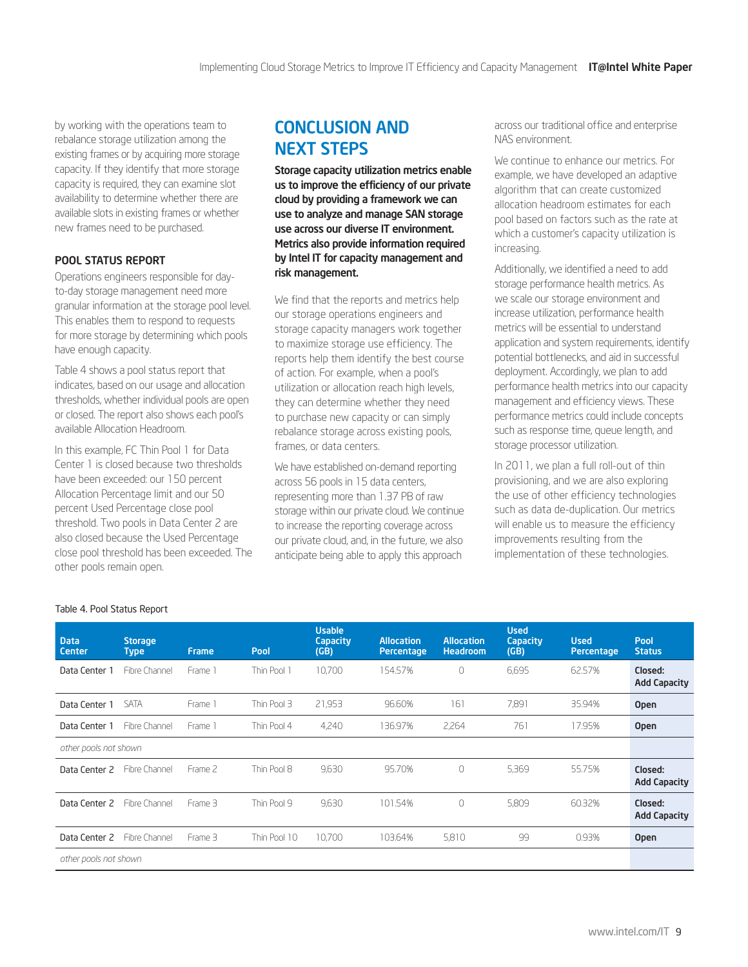<span id="page-8-0"></span>by working with the operations team to rebalance storage utilization among the existing frames or by acquiring more storage capacity. If they identify that more storage capacity is required, they can examine slot availability to determine whether there are available slots in existing frames or whether new frames need to be purchased.

#### POOL STATUS REPORT

Operations engineers responsible for dayto-day storage management need more granular information at the storage pool level. This enables them to respond to requests for more storage by determining which pools have enough capacity.

Table 4 shows a pool status report that indicates, based on our usage and allocation thresholds, whether individual pools are open or closed. The report also shows each pool's available Allocation Headroom.

In this example, FC Thin Pool 1 for Data Center 1 is closed because two thresholds have been exceeded: our 150 percent Allocation Percentage limit and our 50 percent Used Percentage close pool threshold. Two pools in Data Center 2 are also closed because the Used Percentage close pool threshold has been exceeded. The other pools remain open.

## CONCLUSION AND NEXT STEPS

Storage capacity utilization metrics enable us to improve the efficiency of our private cloud by providing a framework we can use to analyze and manage SAN storage use across our diverse IT environment. Metrics also provide information required by Intel IT for capacity management and risk management.

We find that the reports and metrics help our storage operations engineers and storage capacity managers work together to maximize storage use efficiency. The reports help them identify the best course of action. For example, when a pool's utilization or allocation reach high levels, they can determine whether they need to purchase new capacity or can simply rebalance storage across existing pools, frames, or data centers.

We have established on-demand reporting across 56 pools in 15 data centers, representing more than 1.37 PB of raw storage within our private cloud. We continue to increase the reporting coverage across our private cloud, and, in the future, we also anticipate being able to apply this approach

across our traditional office and enterprise NAS environment.

We continue to enhance our metrics. For example, we have developed an adaptive algorithm that can create customized allocation headroom estimates for each pool based on factors such as the rate at which a customer's capacity utilization is increasing.

Additionally, we identified a need to add storage performance health metrics. As we scale our storage environment and increase utilization, performance health metrics will be essential to understand application and system requirements, identify potential bottlenecks, and aid in successful deployment. Accordingly, we plan to add performance health metrics into our capacity management and efficiency views. These performance metrics could include concepts such as response time, queue length, and storage processor utilization.

In 2011, we plan a full roll-out of thin provisioning, and we are also exploring the use of other efficiency technologies such as data de-duplication. Our metrics will enable us to measure the efficiency improvements resulting from the implementation of these technologies.

| <b>Data</b><br>Center | <b>Storage</b><br><b>Type</b> | <b>Frame</b> | Pool         | <b>Usable</b><br><b>Capacity</b><br>(GB) | <b>Allocation</b><br>Percentage | <b>Allocation</b><br><b>Headroom</b> | <b>Used</b><br><b>Capacity</b><br>(GB) | <b>Used</b><br><b>Percentage</b> | Pool<br><b>Status</b>          |
|-----------------------|-------------------------------|--------------|--------------|------------------------------------------|---------------------------------|--------------------------------------|----------------------------------------|----------------------------------|--------------------------------|
| Data Center 1         | Fibre Channel                 | Frame 1      | Thin Pool 1  | 10.700                                   | 154.57%                         | 0                                    | 6,695                                  | 62.57%                           | Closed:<br><b>Add Capacity</b> |
| Data Center 1         | <b>SATA</b>                   | Frame 1      | Thin Pool 3  | 21,953                                   | 96.60%                          | 161                                  | 7.891                                  | 35.94%                           | <b>Open</b>                    |
| Data Center 1         | Fibre Channel                 | Frame 1      | Thin Pool 4  | 4,240                                    | 136.97%                         | 2,264                                | 761                                    | 17.95%                           | <b>Open</b>                    |
| other pools not shown |                               |              |              |                                          |                                 |                                      |                                        |                                  |                                |
| Data Center 2         | Fibre Channel                 | Frame 2      | Thin Pool 8  | 9,630                                    | 95.70%                          | 0                                    | 5,369                                  | 55.75%                           | Closed:<br><b>Add Capacity</b> |
| Data Center 2         | Fibre Channel                 | Frame 3      | Thin Pool 9  | 9,630                                    | 101.54%                         | $\Omega$                             | 5,809                                  | 60.32%                           | Closed:<br><b>Add Capacity</b> |
| Data Center 2         | Fibre Channel                 | Frame 3      | Thin Pool 10 | 10.700                                   | 103.64%                         | 5,810                                | 99                                     | 0.93%                            | <b>Open</b>                    |
| other pools not shown |                               |              |              |                                          |                                 |                                      |                                        |                                  |                                |

#### Table 4. Pool Status Report